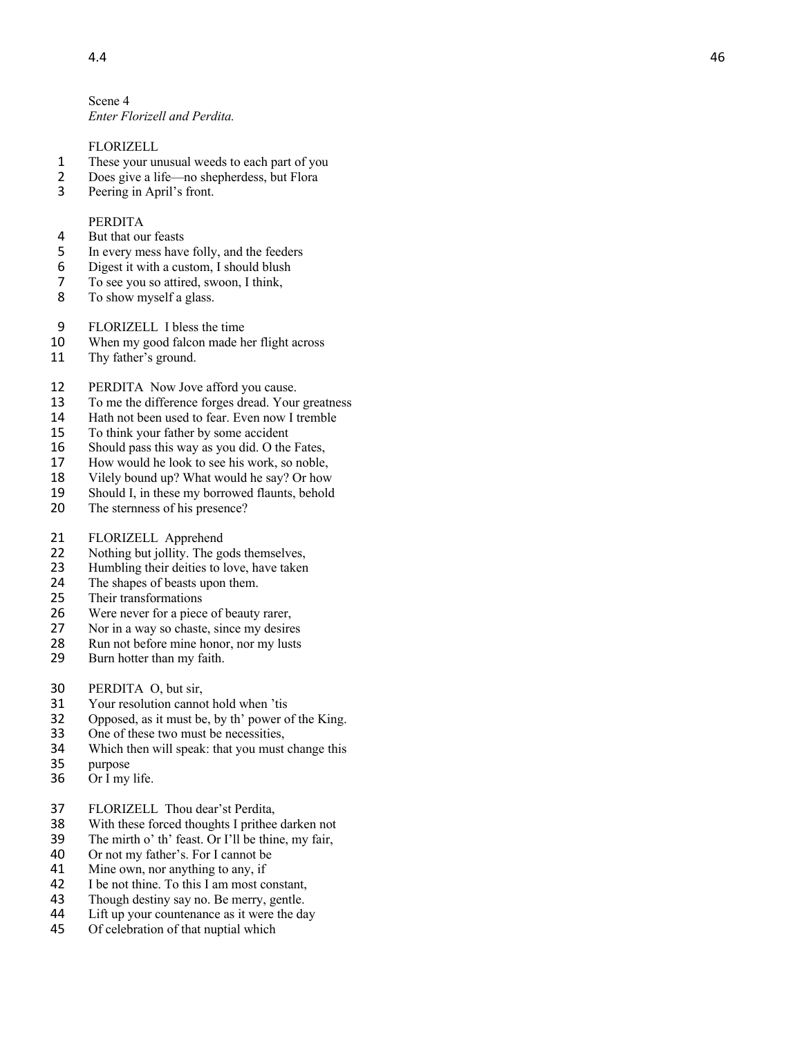Scene 4 *Enter Florizell and Perdita.*

## FLORIZELL

- 1 These your unusual weeds to each part of you
- 2 Does give a life—no shepherdess, but Flora
- 3 Peering in April's front.

## PERDITA

- 4 But that our feasts<br>5 In every mess have
- 5 In every mess have folly, and the feeders<br>6 Digest it with a custom, I should blush
- 6 Digest it with a custom, I should blush<br>7 To see you so attired, swoon, I think,
- 7 To see you so attired, swoon, I think,<br>8 To show myself a glass.
- To show myself a glass.
- 9 FLORIZELL I bless the time
- 10 When my good falcon made her flight across
- 11 Thy father's ground.
- 12 PERDITA Now Jove afford you cause.<br>13 To me the difference forges dread. Your
- To me the difference forges dread. Your greatness
- 14 Hath not been used to fear. Even now I tremble
- 15 To think your father by some accident<br>16 Should pass this way as you did. O the
- Should pass this way as you did. O the Fates,
- 17 How would he look to see his work, so noble,
- 18 Vilely bound up? What would he say? Or how<br>19 Should I, in these my borrowed flaunts, behold
- Should I, in these my borrowed flaunts, behold
- 20 The sternness of his presence?
- 21 FLORIZELL Apprehend
- 22 Nothing but jollity. The gods themselves,
- 23 Humbling their deities to love, have taken<br>24 The shapes of beasts upon them.
- The shapes of beasts upon them.
- 25 Their transformations
- 26 Were never for a piece of beauty rarer,<br>27 Nor in a way so chaste, since my desire
- Nor in a way so chaste, since my desires
- 28 Run not before mine honor, nor my lusts
- 29 Burn hotter than my faith.
- 30 PERDITA O, but sir,
- 31 Your resolution cannot hold when 'tis<br>32 Opposed, as it must be, by th' power of
- 32 Opposed, as it must be, by th' power of the King.<br>33 One of these two must be necessities.
- One of these two must be necessities,
- 34 Which then will speak: that you must change this purpose
- purpose
- 36 Or I my life.
- 37 FLORIZELL Thou dear'st Perdita,
- 38 With these forced thoughts I prithee darken not
- 39 The mirth o' th' feast. Or I'll be thine, my fair,
- 40 Or not my father's. For I cannot be
- 41 Mine own, nor anything to any, if
- 42 I be not thine. To this I am most constant,<br>43 Though destiny say no. Be merry, gentle.
- 43 Though destiny say no. Be merry, gentle.<br>44 Lift un your countenance as it were the da
- Lift up your countenance as it were the day
- 45 Of celebration of that nuptial which